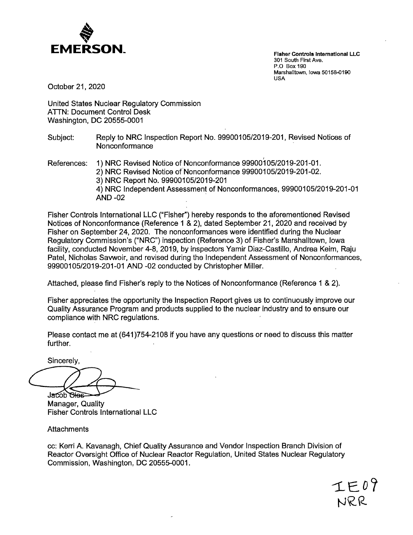

**Fisher Controls** International LLC 301 South First Ave. P.O Box 190 Marshalltown, Iowa 50158-0190 USA

October 21, 2020

United States Nuclear Regulatory Commission ATTN: Document Control Desk Washington, DC 20555-0001

- Subject: Reply to NRG Inspection Report No. 99900105/2019-201, Revised Notices of Nonconformance
- References: 1) NRG Revised Notice of Nonconformance 99900105/2019-201-01. 2) NRC Revised Notice of Nonconformance 99900105/2019-201-02. 3) NRG Report No. 99900105/2019-201 4) NRG Independent Assessment of Non conformances, 99900105/2019-201-01 **AND** -02 ,

Fisher Controls International LLC ("Fisher") hereby responds to the aforementioned Revised Notices of Nonconformance (Reference 1 & 2), dated September 21, 2020 and received by Fisher on September 24, 2020. The nonconformances were identified during the Nuclear Regulatory Commission's ("NRG") inspection (Reference 3) of Fisher's Marshalltown, Iowa facility, conducted November 4-8, 2019, by inspectors Yamir Diaz-Castillo, Andrea Keim, Raju Patel, Nicholas Savwoir, and revised during the Independent Assessment of Nonconformances, 99900105/2019-201-01 AND -02 conducted by Christopher Miller.

Attached, please find Fisher's reply to the Notices of Nonconformance (Reference 1 & 2).

Fisher appreciates the opportunity the Inspection Report gives us to continuously improve our Quality Assurance Program and products supplied to the nuclear industry and to ensure our compliance with NRG regulations.

Please contact me at (641)754-2108 if you have any questions or need to discuss this matter further.

Sincerely,

~---.,..\_\_-

Manager, Quality Fisher Controls International LLC

**Attachments** 

cc: Kerri A. Kavanagh, Chief Quality Assurance and Vendor Inspection Branch Division of Reactor Oversight Office of Nuclear Reactor Regulation, United States Nuclear Regulatory Commission, Washington, DC 20555-0001.

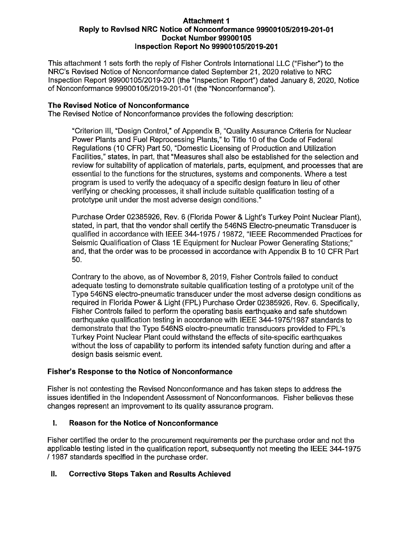#### **Attachment 1 Reply to Revised NRC Notice of Nonconformance 99900105/2019-201-01 Docket Number 99900105 Inspection Report No 99900105/2019-201**

This attachment 1 sets forth the reply of Fisher Controls International LLC ("Fisher") to the NRC's Revised Notice of Nonconfonnance dated September 21, 2020 relative to NRC Inspection Report 99900105/2019-201 (the "Inspection Report") dated January 8, 2020, Notice of Nonconfonnance 99900105/2019-201-01 (the "Nonconfonnance").

### **The Revised Notice of Nonconformance**

The Revised Notice of Nonconfonnance provides the following description:

"Criterion 111, "Design Control," of Appendix B, "Quality Assurance Criteria for Nuclear Power Plants and Fuel Reprocessing Plants," to Title 10 of the Code of Federal Regulations ( 10 CFR) Part 50, "Domestic Licensing of Production and Utilization Facilities," states, in part, that "Measures shall also be established for the selection and review for suitability of application of materials, parts, equipment, and processes that are essential to the functions for the structures, systems and components. Where a test program is used to verify the adequacy of a specific design feature in lieu of other verifying or checking processes, it shall include suitable qualtfication testing of <sup>a</sup> prototype unit under the most adverse design conditions."

Purchase Order 02385926, Rev. 6 (Florida Power & Light's Turkey Point Nuclear Plant), stated, in part, that the vendor shall certify the 546NS Electro-pneumatic Transducer is qualified in accordance with IEEE 344-1975 / 19872, "IEEE Recommended Practices for Seismic Qualification of Class 1E Equipment for Nuclear Power Generating Stations;" and, that the order was to be processed in accordance with Appendix B to 10 CFR Part 50.

Contrary to the above, as of November 8, 2019, Fisher Controls failed to conduct adequate testing to demonstrate suitable qualtfication testing of a prototype unit of the Type 546NS electro-pneumatic transducer under the most adverse design conditions as required in Florida Power & Light (FPL) Purchase Order 02385926, Rev. 6. Spectfically, Fisher Controls failed to perfonn the operating basis earthquake and safe shutdown earthquake qualification testing in accordance with IEEE 344-1975/1987 standards to demonstrate that the Type 546NS electro-pneumatic transducers provided to FPL's Turkey Point Nuclear Plant could withstand the effects of site-specific earthquakes without the loss of capability to perform its intended safety function during and after a design basis seismic event.

## **Fisher's Response to the Notice of Nonconformance**

Fisher is not contesting the Revised Nonconfonnance and has taken steps to address the issues identified in the Independent Assessment of Nonconformances. Fisher believes these changes represent an improvement to its quality assurance program.

## I. **Reason for the Notice of Nonconformance**

Fisher certtfied the order to the procurement requirements per the purchase order and not the applicable testing listed in the qualification report, subsequently not meeting the IEEE 344-1975 / 1987 standards specified in the purchase order.

## II. **Corrective Steps Taken and Results Achieved**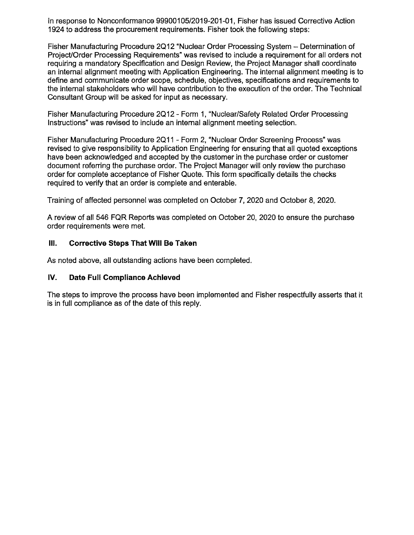In response to Nonconformance 99900105/2019-201-01, Fisher has issued Corrective Action 1924 to address the procurement requirements. Fisher took the following steps:

Fisher Manufacturing Procedure 2Q12 "Nuclear Order Processing System - Determination of Project/Order Processing Requirements" was revised to include a requirement for all orders not requiring a mandatory Specification and Design Review, the Project Manager shall coordinate an internal alignment meeting with Application Engineering. The internal alignment meeting is to define and communicate order scope, schedule, objectives, specifications and requirements to the internal stakeholders who will have contribution to the execution of the order. The Technical Consultant Group will be asked for input as necessary.

Fisher Manufacturing Procedure 2012 - Form 1, "Nuclear/Safety Related Order Processing Instructions" was revised to include ah internal alignment meeting selection.

Fisher Manufacturing Procedure 2Q11 - Form 2, "Nuclear Order Screening Process" was revised to give responsibility to Application Engineering for ensuring that all quoted exceptions have been acknowledged and accepted by the customer in the purchase order or customer document referring the purchase order. The Project Manager will only review the purchase order for complete acceptance of Fisher Quote. This form specifically details the checks required to verify that an order is complete and enterable.

Training of affected personnel was completed on October 7, 2020 and October 8, 2020.

A review of all 546 FQR Reports was completed on October 20, 2020 to ensure the purchase order requirements were met.

### Ill. **Corrective Steps That WIii Be Taken**

As noted above, all outstanding actions have been completed.

## **IV. Date Full Compliance Achieved**

The steps to improve the process have been implemented and Fisher respectfully asserts that it is in full compliance as of the date of this reply.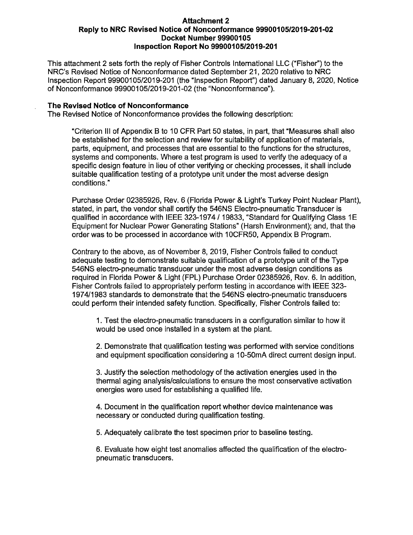#### **Attachment 2 Reply to NRC Revised Notice of Nonconformance 99900105/2019-201-02 Docket Number 99900105 Inspection Report No 99900105/2019-201**

This attachment 2 sets forth the reply of Fisher Controls International LLC ("Fisher") to the NRC's Revised Notice of Nonconformance dated September 21, 2020 relative to NRC Inspection Report 99900105/2019-201 (the "Inspection Report") dated January 8, 2020, Notice of Nonconformance 99900105/2019-201-02 (the "Nonconforrnance").

#### **The Revised Notice of Nonconformance**

The Revised Notice of Nonconformance provides the following description:

"Criterion Ill of Appendix B to 10 CFR Part 50 states, in part, that "Measures shall also be established for the selection and review for suitability of application of materials, parts, equipment, and processes that are essential to the functions for the structures, systems and components. Where a test program is used to verify the adequacy of a specific design feature in lieu of other verifying or checking processes, it shall include suitable qualification testing of a prototype unit under the most adverse design conditions."

Purchase Order 02385926, Rev. 6 (Florida Power & Light's Turkey Point Nuclear Plant), stated, in part, the vendor shall certify the 546NS Electro-pneumatic Transducer is qualified in accordance with IEEE 323-1974 / 19833, "Standard for Qualifying Class 1E Equipment for Nuclear Power Generating Stations" (Harsh Environment); and, that the order was to be processed in accordance with 1 0CFR50, Appendix B Program.

Contrary to the above, as of November 8, 2019, Fisher Controls failed to conduct adequate testing to demonstrate suitable qualification of a prototype unit of the Type 546NS electro-pneumatic transducer under the most adverse design conditions as required in Florida Power & Light (FPL) Purchase Order 02385926, Rev. 6. In addition, Fisher Controls failed to appropriately perform testing in accordance with IEEE 323- 197 4/1983 standards to demonstrate that the 546NS electro-pneumatic transducers could perform their intended safety function. Specifically, Fisher Controls failed to:

1. Test the electro-pneumatic transducers in a configuration similar to how it would be used once installed in a system at the plant.

2. Demonstrate that qualification testing was performed with service conditions and equipment specification considering a 10-50mA direct current design input.

3. Justify the selection methodology of the activation energies used in the thermal aging analysis/calculations to ensure the most conservative activation energies were used for establishing a qualified life.

4. Document in the qualification report whether device maintenance was necessary or conducted during qualification testing.

5. Adequately calibrate the test specimen prior to baseline testing.

6. Evaluate how eight test anomalies affected the qualification of the electropneumatic transducers.